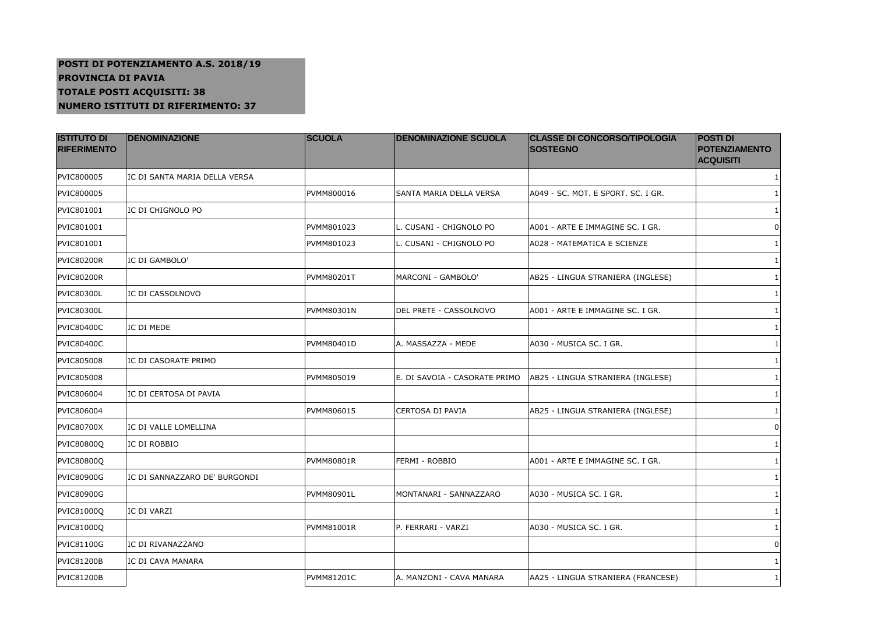## **POSTI DI POTENZIAMENTO A.S. 2018/19PROVINCIA DI PAVIA TOTALE POSTI ACQUISITI: 38NUMERO ISTITUTI DI RIFERIMENTO: 37**

| <b>ISTITUTO DI</b><br><b>RIFERIMENTO</b> | <b>DENOMINAZIONE</b>          | <b>SCUOLA</b>     | <b>DENOMINAZIONE SCUOLA</b>   | <b>CLASSE DI CONCORSO/TIPOLOGIA</b><br><b>SOSTEGNO</b> | <b>POSTI DI</b><br><b>POTENZIAMENTO</b><br><b>ACQUISITI</b> |
|------------------------------------------|-------------------------------|-------------------|-------------------------------|--------------------------------------------------------|-------------------------------------------------------------|
| PVIC800005                               | IC DI SANTA MARIA DELLA VERSA |                   |                               |                                                        | 1                                                           |
| PVIC800005                               |                               | PVMM800016        | SANTA MARIA DELLA VERSA       | A049 - SC. MOT. E SPORT. SC. I GR.                     | $\mathbf{1}$                                                |
| PVIC801001                               | IC DI CHIGNOLO PO             |                   |                               |                                                        | 1                                                           |
| PVIC801001                               |                               | PVMM801023        | L. CUSANI - CHIGNOLO PO       | A001 - ARTE E IMMAGINE SC. I GR.                       | $\mathbf 0$                                                 |
| PVIC801001                               |                               | PVMM801023        | L. CUSANI - CHIGNOLO PO       | A028 - MATEMATICA E SCIENZE                            | 1                                                           |
| <b>PVIC80200R</b>                        | IC DI GAMBOLO'                |                   |                               |                                                        | 1                                                           |
| <b>PVIC80200R</b>                        |                               | PVMM80201T        | MARCONI - GAMBOLO'            | AB25 - LINGUA STRANIERA (INGLESE)                      | 1                                                           |
| <b>PVIC80300L</b>                        | IC DI CASSOLNOVO              |                   |                               |                                                        |                                                             |
| PVIC80300L                               |                               | PVMM80301N        | DEL PRETE - CASSOLNOVO        | A001 - ARTE E IMMAGINE SC. I GR.                       | 1                                                           |
| <b>PVIC80400C</b>                        | IC DI MEDE                    |                   |                               |                                                        |                                                             |
| <b>PVIC80400C</b>                        |                               | PVMM80401D        | A. MASSAZZA - MEDE            | A030 - MUSICA SC. I GR.                                | 1                                                           |
| PVIC805008                               | IC DI CASORATE PRIMO          |                   |                               |                                                        |                                                             |
| PVIC805008                               |                               | PVMM805019        | E. DI SAVOIA - CASORATE PRIMO | AB25 - LINGUA STRANIERA (INGLESE)                      | 1                                                           |
| PVIC806004                               | IC DI CERTOSA DI PAVIA        |                   |                               |                                                        |                                                             |
| PVIC806004                               |                               | PVMM806015        | CERTOSA DI PAVIA              | AB25 - LINGUA STRANIERA (INGLESE)                      | 1                                                           |
| <b>PVIC80700X</b>                        | IC DI VALLE LOMELLINA         |                   |                               |                                                        | 0                                                           |
| <b>PVIC80800Q</b>                        | IC DI ROBBIO                  |                   |                               |                                                        | 1                                                           |
| <b>PVIC80800Q</b>                        |                               | PVMM80801R        | FERMI - ROBBIO                | A001 - ARTE E IMMAGINE SC. I GR.                       |                                                             |
| <b>PVIC80900G</b>                        | IC DI SANNAZZARO DE' BURGONDI |                   |                               |                                                        | 1                                                           |
| PVIC80900G                               |                               | PVMM80901L        | MONTANARI - SANNAZZARO        | A030 - MUSICA SC. I GR.                                |                                                             |
| PVIC81000Q                               | IC DI VARZI                   |                   |                               |                                                        | 1                                                           |
| <b>PVIC81000Q</b>                        |                               | PVMM81001R        | P. FERRARI - VARZI            | A030 - MUSICA SC. I GR.                                |                                                             |
| <b>PVIC81100G</b>                        | IC DI RIVANAZZANO             |                   |                               |                                                        | 0                                                           |
| <b>PVIC81200B</b>                        | IC DI CAVA MANARA             |                   |                               |                                                        |                                                             |
| <b>PVIC81200B</b>                        |                               | <b>PVMM81201C</b> | A. MANZONI - CAVA MANARA      | AA25 - LINGUA STRANIERA (FRANCESE)                     | 1                                                           |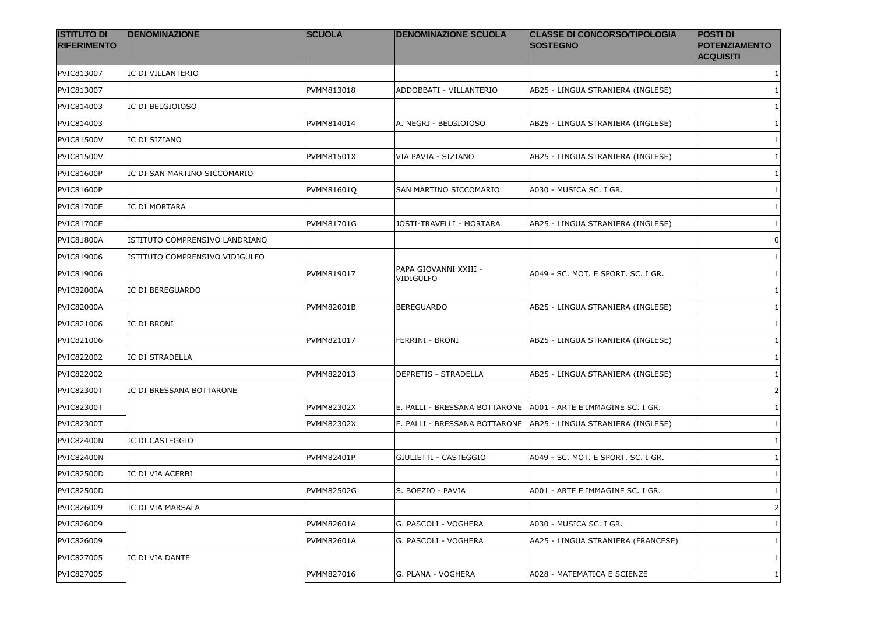| <b>ISTITUTO DI</b><br><b>RIFERIMENTO</b> | <b>DENOMINAZIONE</b>           | <b>SCUOLA</b>     | <b>DENOMINAZIONE SCUOLA</b>        | <b>CLASSE DI CONCORSO/TIPOLOGIA</b><br><b>SOSTEGNO</b> | <b>POSTI DI</b><br><b>POTENZIAMENTO</b><br><b>ACQUISITI</b> |
|------------------------------------------|--------------------------------|-------------------|------------------------------------|--------------------------------------------------------|-------------------------------------------------------------|
| PVIC813007                               | IC DI VILLANTERIO              |                   |                                    |                                                        | 1                                                           |
| PVIC813007                               |                                | PVMM813018        | ADDOBBATI - VILLANTERIO            | AB25 - LINGUA STRANIERA (INGLESE)                      | 1                                                           |
| PVIC814003                               | IC DI BELGIOIOSO               |                   |                                    |                                                        |                                                             |
| PVIC814003                               |                                | PVMM814014        | A. NEGRI - BELGIOIOSO              | AB25 - LINGUA STRANIERA (INGLESE)                      |                                                             |
| <b>PVIC81500V</b>                        | IC DI SIZIANO                  |                   |                                    |                                                        | 1                                                           |
| <b>PVIC81500V</b>                        |                                | PVMM81501X        | VIA PAVIA - SIZIANO                | AB25 - LINGUA STRANIERA (INGLESE)                      |                                                             |
| <b>PVIC81600P</b>                        | IC DI SAN MARTINO SICCOMARIO   |                   |                                    |                                                        | 1                                                           |
| PVIC81600P                               |                                | PVMM81601Q        | SAN MARTINO SICCOMARIO             | A030 - MUSICA SC. I GR.                                | 1                                                           |
| <b>PVIC81700E</b>                        | IC DI MORTARA                  |                   |                                    |                                                        | 1                                                           |
| <b>PVIC81700E</b>                        |                                | PVMM81701G        | JOSTI-TRAVELLI - MORTARA           | AB25 - LINGUA STRANIERA (INGLESE)                      | 1                                                           |
| <b>PVIC81800A</b>                        | ISTITUTO COMPRENSIVO LANDRIANO |                   |                                    |                                                        | 0                                                           |
| PVIC819006                               | ISTITUTO COMPRENSIVO VIDIGULFO |                   |                                    |                                                        | 1                                                           |
| PVIC819006                               |                                | PVMM819017        | PAPA GIOVANNI XXIII -<br>VIDIGULFO | A049 - SC. MOT. E SPORT. SC. I GR.                     | 1                                                           |
| <b>PVIC82000A</b>                        | IC DI BEREGUARDO               |                   |                                    |                                                        |                                                             |
| <b>PVIC82000A</b>                        |                                | <b>PVMM82001B</b> | <b>BEREGUARDO</b>                  | AB25 - LINGUA STRANIERA (INGLESE)                      | 1                                                           |
| PVIC821006                               | IC DI BRONI                    |                   |                                    |                                                        |                                                             |
| PVIC821006                               |                                | PVMM821017        | FERRINI - BRONI                    | AB25 - LINGUA STRANIERA (INGLESE)                      |                                                             |
| PVIC822002                               | IC DI STRADELLA                |                   |                                    |                                                        | 1                                                           |
| PVIC822002                               |                                | PVMM822013        | DEPRETIS - STRADELLA               | AB25 - LINGUA STRANIERA (INGLESE)                      |                                                             |
| PVIC82300T                               | IC DI BRESSANA BOTTARONE       |                   |                                    |                                                        | 2                                                           |
| <b>PVIC82300T</b>                        |                                | <b>PVMM82302X</b> | E. PALLI - BRESSANA BOTTARONE      | A001 - ARTE E IMMAGINE SC. I GR.                       | 1                                                           |
| <b>PVIC82300T</b>                        |                                | <b>PVMM82302X</b> | E. PALLI - BRESSANA BOTTARONE      | AB25 - LINGUA STRANIERA (INGLESE)                      | 1                                                           |
| <b>PVIC82400N</b>                        | IC DI CASTEGGIO                |                   |                                    |                                                        | -1                                                          |
| <b>PVIC82400N</b>                        |                                | PVMM82401P        | GIULIETTI - CASTEGGIO              | A049 - SC. MOT. E SPORT. SC. I GR.                     | 1                                                           |
| <b>PVIC82500D</b>                        | IC DI VIA ACERBI               |                   |                                    |                                                        |                                                             |
| <b>PVIC82500D</b>                        |                                | <b>PVMM82502G</b> | S. BOEZIO - PAVIA                  | A001 - ARTE E IMMAGINE SC. I GR.                       | 1                                                           |
| PVIC826009                               | IC DI VIA MARSALA              |                   |                                    |                                                        | 2                                                           |
| PVIC826009                               |                                | PVMM82601A        | G. PASCOLI - VOGHERA               | A030 - MUSICA SC. I GR.                                | 1                                                           |
| PVIC826009                               |                                | PVMM82601A        | G. PASCOLI - VOGHERA               | AA25 - LINGUA STRANIERA (FRANCESE)                     | 1                                                           |
| PVIC827005                               | IC DI VIA DANTE                |                   |                                    |                                                        | 1                                                           |
| <b>PVIC827005</b>                        |                                | PVMM827016        | G. PLANA - VOGHERA                 | A028 - MATEMATICA E SCIENZE                            | 1                                                           |